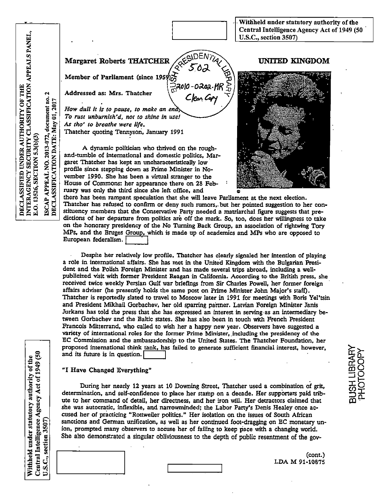Withheld under statutory authority of the Central Intelligence Agency Act of 1949 (50 U.S.C., section 3507)

**Margaret Roberts THATCHER** 

Member of Parliament (since 1959) $\overrightarrow{C}$ 

Addressed as: Mrs. Thatcher

How dull it is to pause, to make an end, To rust unburnish'd, not to shine in use! As tho' to breathe were life. Thatcher quoting Tennyson, January 1991

A dynamic politician who thrived on the roughand-tumble of international and domestic politics. Margaret Thatcher has kept an uncharacteristically low profile since stepping down as Prime Minister in November 1990. She has been a virtual stranger to the House of Commons: her appearance there on 28 February was only the third since she left office, and

## **UNITED KINGDOM**



there has been rampant speculation that she will leave Parliament at the next election. Thatcher has refused to confirm or deny such rumors, but her pointed suggestion to her constituency members that the Conservative Party needed a matriarchal figure suggests that predictions of her departure from politics are off the mark. So, too, does her willingness to take on the honorary presidency of the No Turning Back Group, an association of rightwing Tory MPs, and the Bruges Group, which is made up of academics and MPs who are opposed to European federalism.

PRE

ేన్లే2010-0202.HR

Despite her relatively low profile. Thatcher has clearly signaled her intention of playing a role in international affairs. She has met in the United Kingdom with the Bulgarian President and the Polish Foreign Minister and has made several trips abroad, including a wellpublicized visit with former President Reagan in California. According to the British press, she received twice weekly Persian Gulf war briefings from Sir Charles Powell, her former foreign affairs adviser (he presently holds the same post on Prime Minister John Major's staff). Thatcher is reportedly slated to travel to Moscow later in 1991 for meetings with Boris Yel'tsin and President Mikhail Gorbachev, her old sparring partner. Latvian Foreign Minister Janis Jurkans has told the press that she has expressed an interest in serving as an intermediary between Gorbachev and the Baltic states. She has also been in touch with French President Francois Mitterrand, who called to wish her a happy new year. Observers have suggested a variety of international roles for the former Prime Minister, including the presidency of the EC Commission and the ambassadorship to the United States. The Thatcher Foundation, her proposed international think tank, has failed to generate sufficient financial interest, however, and its future is in question.

## "I Have Changed Everything"

During her nearly 12 years at 10 Downing Street, Thatcher used a combination of grit, determination, and self-confidence to place her stamp on a decade. Her supporters paid tribute to her command of detail, her directness, and her iron will. Her detractors claimed that she was autocratic, inflexible, and narrowminded; the Labor Party's Denis Healey once accused her of practicing "Rottweiler politics." Her isolation on the issues of South African sanctions and German unification, as well as her continued foot-dragging on EC monetary union, prompted many observers to accuse her of failing to keep pace with a changing world. She also demonstrated a singular obliviousness to the depth of public resentment of the gov-

INTERAGENCY SECURITY CLASSIFICATION APPEALS PANEL.

E.O. 13526, SECTION 5.3(b)(3)

 $\mathbf{\hat{z}}$ 

ISCAP APPEAL NO. 2013-072, document no.<br>DECLASSIFICATION DATE: May 01, 2017

DECLASSIFIED UNDER AUTHORITY OF THE

(cont.) LDA M 91-10875 BUSH LIBRARY

PHOTOCOPY